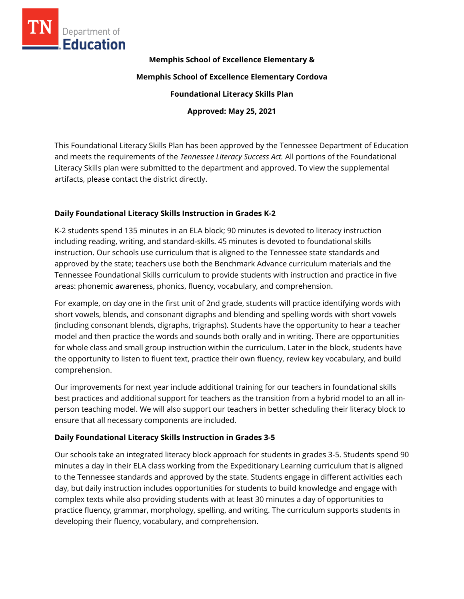

**Memphis School of Excellence Elementary &**

**Memphis School of Excellence Elementary Cordova**

**Foundational Literacy Skills Plan**

**Approved: May 25, 2021**

This Foundational Literacy Skills Plan has been approved by the Tennessee Department of Education and meets the requirements of the *Tennessee Literacy Success Act.* All portions of the Foundational Literacy Skills plan were submitted to the department and approved. To view the supplemental artifacts, please contact the district directly.

## **Daily Foundational Literacy Skills Instruction in Grades K-2**

K-2 students spend 135 minutes in an ELA block; 90 minutes is devoted to literacy instruction including reading, writing, and standard-skills. 45 minutes is devoted to foundational skills instruction. Our schools use curriculum that is aligned to the Tennessee state standards and approved by the state; teachers use both the Benchmark Advance curriculum materials and the Tennessee Foundational Skills curriculum to provide students with instruction and practice in five areas: phonemic awareness, phonics, fluency, vocabulary, and comprehension.

For example, on day one in the first unit of 2nd grade, students will practice identifying words with short vowels, blends, and consonant digraphs and blending and spelling words with short vowels (including consonant blends, digraphs, trigraphs). Students have the opportunity to hear a teacher model and then practice the words and sounds both orally and in writing. There are opportunities for whole class and small group instruction within the curriculum. Later in the block, students have the opportunity to listen to fluent text, practice their own fluency, review key vocabulary, and build comprehension.

Our improvements for next year include additional training for our teachers in foundational skills best practices and additional support for teachers as the transition from a hybrid model to an all inperson teaching model. We will also support our teachers in better scheduling their literacy block to ensure that all necessary components are included.

# **Daily Foundational Literacy Skills Instruction in Grades 3-5**

Our schools take an integrated literacy block approach for students in grades 3-5. Students spend 90 minutes a day in their ELA class working from the Expeditionary Learning curriculum that is aligned to the Tennessee standards and approved by the state. Students engage in different activities each day, but daily instruction includes opportunities for students to build knowledge and engage with complex texts while also providing students with at least 30 minutes a day of opportunities to practice fluency, grammar, morphology, spelling, and writing. The curriculum supports students in developing their fluency, vocabulary, and comprehension.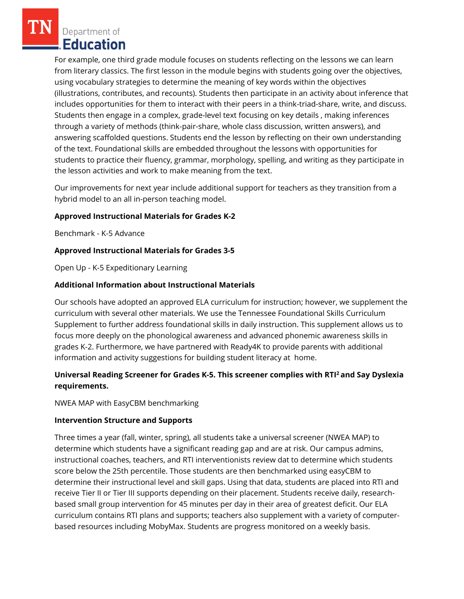Department of Education

For example, one third grade module focuses on students reflecting on the lessons we can learn from literary classics. The first lesson in the module begins with students going over the objectives, using vocabulary strategies to determine the meaning of key words within the objectives (illustrations, contributes, and recounts). Students then participate in an activity about inference that includes opportunities for them to interact with their peers in a think-triad-share, write, and discuss. Students then engage in a complex, grade-level text focusing on key details , making inferences through a variety of methods (think-pair-share, whole class discussion, written answers), and answering scaffolded questions. Students end the lesson by reflecting on their own understanding of the text. Foundational skills are embedded throughout the lessons with opportunities for students to practice their fluency, grammar, morphology, spelling, and writing as they participate in the lesson activities and work to make meaning from the text.

Our improvements for next year include additional support for teachers as they transition from a hybrid model to an all in-person teaching model.

## **Approved Instructional Materials for Grades K-2**

Benchmark - K-5 Advance

#### **Approved Instructional Materials for Grades 3-5**

Open Up - K-5 Expeditionary Learning

#### **Additional Information about Instructional Materials**

Our schools have adopted an approved ELA curriculum for instruction; however, we supplement the curriculum with several other materials. We use the Tennessee Foundational Skills Curriculum Supplement to further address foundational skills in daily instruction. This supplement allows us to focus more deeply on the phonological awareness and advanced phonemic awareness skills in grades K-2. Furthermore, we have partnered with Ready4K to provide parents with additional information and activity suggestions for building student literacy at home.

# **Universal Reading Screener for Grades K-5. This screener complies with RTI<sup>2</sup>and Say Dyslexia requirements.**

NWEA MAP with EasyCBM benchmarking

#### **Intervention Structure and Supports**

Three times a year (fall, winter, spring), all students take a universal screener (NWEA MAP) to determine which students have a significant reading gap and are at risk. Our campus admins, instructional coaches, teachers, and RTI interventionists review dat to determine which students score below the 25th percentile. Those students are then benchmarked using easyCBM to determine their instructional level and skill gaps. Using that data, students are placed into RTI and receive Tier II or Tier III supports depending on their placement. Students receive daily, researchbased small group intervention for 45 minutes per day in their area of greatest deficit. Our ELA curriculum contains RTI plans and supports; teachers also supplement with a variety of computerbased resources including MobyMax. Students are progress monitored on a weekly basis.